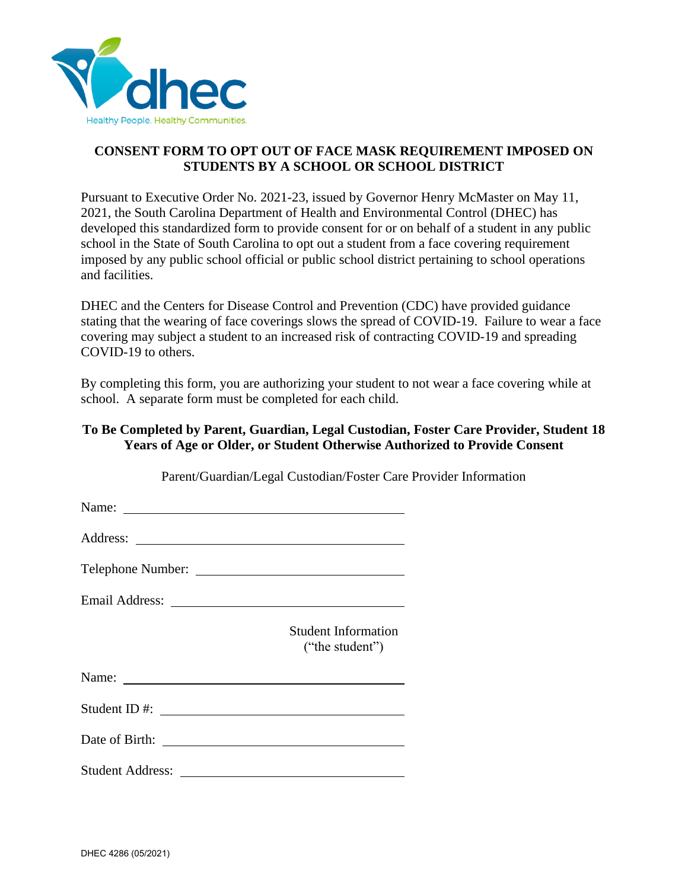

## **CONSENT FORM TO OPT OUT OF FACE MASK REQUIREMENT IMPOSED ON STUDENTS BY A SCHOOL OR SCHOOL DISTRICT**

Pursuant to Executive Order No. 2021-23, issued by Governor Henry McMaster on May 11, 2021, the South Carolina Department of Health and Environmental Control (DHEC) has developed this standardized form to provide consent for or on behalf of a student in any public school in the State of South Carolina to opt out a student from a face covering requirement imposed by any public school official or public school district pertaining to school operations and facilities.

DHEC and the Centers for Disease Control and Prevention (CDC) have provided guidance stating that the wearing of face coverings slows the spread of COVID-19. Failure to wear a face covering may subject a student to an increased risk of contracting COVID-19 and spreading COVID-19 to others.

By completing this form, you are authorizing your student to not wear a face covering while at school. A separate form must be completed for each child.

## **To Be Completed by Parent, Guardian, Legal Custodian, Foster Care Provider, Student 18 Years of Age or Older, or Student Otherwise Authorized to Provide Consent**

| Parent/Guardian/Legal Custodian/Poster Care Provider |
|------------------------------------------------------|
|                                                      |
|                                                      |
|                                                      |
|                                                      |
|                                                      |
|                                                      |
|                                                      |
|                                                      |
|                                                      |
|                                                      |

Parent/Guardian/Legal Custodian/Foster Care Provider Information